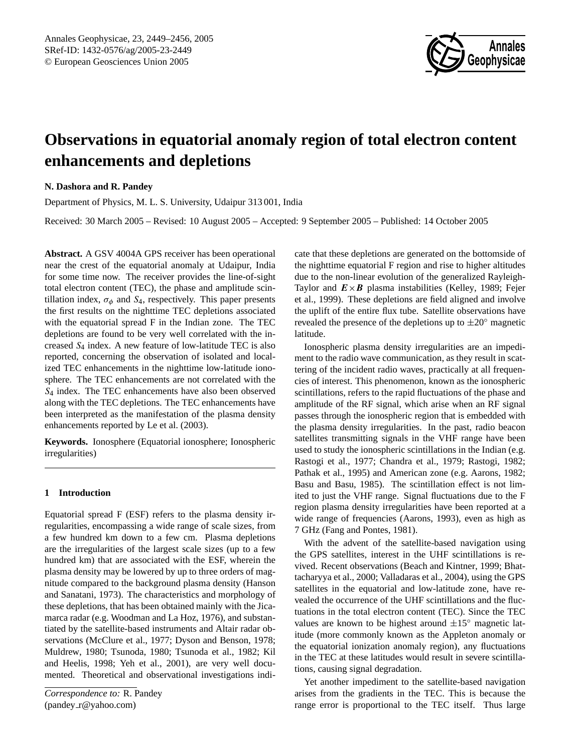

# **Observations in equatorial anomaly region of total electron content enhancements and depletions**

# **N. Dashora and R. Pandey**

Department of Physics, M. L. S. University, Udaipur 313 001, India

Received: 30 March 2005 – Revised: 10 August 2005 – Accepted: 9 September 2005 – Published: 14 October 2005

**Abstract.** A GSV 4004A GPS receiver has been operational near the crest of the equatorial anomaly at Udaipur, India for some time now. The receiver provides the line-of-sight total electron content (TEC), the phase and amplitude scintillation index,  $\sigma_{\phi}$  and  $S_4$ , respectively. This paper presents the first results on the nighttime TEC depletions associated with the equatorial spread F in the Indian zone. The TEC depletions are found to be very well correlated with the increased  $S_4$  index. A new feature of low-latitude TEC is also reported, concerning the observation of isolated and localized TEC enhancements in the nighttime low-latitude ionosphere. The TEC enhancements are not correlated with the S<sup>4</sup> index. The TEC enhancements have also been observed along with the TEC depletions. The TEC enhancements have been interpreted as the manifestation of the plasma density enhancements reported by [Le et al.](#page-7-0) [\(2003\)](#page-7-0).

**Keywords.** Ionosphere (Equatorial ionosphere; Ionospheric irregularities)

# **1 Introduction**

<span id="page-0-0"></span>Equatorial spread F (ESF) refers to the plasma density irregularities, encompassing a wide range of scale sizes, from a few hundred km down to a few cm. Plasma depletions are the irregularities of the largest scale sizes (up to a few hundred km) that are associated with the ESF, wherein the plasma density may be lowered by up to three orders of magnitude compared to the background plasma density [\(Hanson](#page-7-1) [and Sanatani,](#page-7-1) [1973\)](#page-7-1). The characteristics and morphology of these depletions, that has been obtained mainly with the Jicamarca radar (e.g. [Woodman and La Hoz,](#page-7-2) [1976\)](#page-7-2), and substantiated by the satellite-based instruments and Altair radar observations [\(McClure et al.,](#page-7-3) [1977;](#page-7-3) [Dyson and Benson,](#page-6-0) [1978;](#page-6-0) [Muldrew,](#page-7-4) [1980;](#page-7-4) [Tsunoda,](#page-7-5) [1980;](#page-7-5) [Tsunoda et al.,](#page-7-6) [1982;](#page-7-6) [Kil](#page-7-7) [and Heelis,](#page-7-7) [1998;](#page-7-7) [Yeh et al.,](#page-7-8) [2001\)](#page-7-8), are very well documented. Theoretical and observational investigations indicate that these depletions are generated on the bottomside of the nighttime equatorial F region and rise to higher altitudes due to the non-linear evolution of the generalized Rayleigh-Taylor and  $E \times B$  plasma instabilities [\(Kelley,](#page-7-9) [1989;](#page-7-9) [Fejer](#page-7-10) [et al.,](#page-7-10) [1999\)](#page-7-10). These depletions are field aligned and involve the uplift of the entire flux tube. Satellite observations have revealed the presence of the depletions up to  $\pm 20^\circ$  magnetic latitude.

Ionospheric plasma density irregularities are an impediment to the radio wave communication, as they result in scattering of the incident radio waves, practically at all frequencies of interest. This phenomenon, known as the ionospheric scintillations, refers to the rapid fluctuations of the phase and amplitude of the RF signal, which arise when an RF signal passes through the ionospheric region that is embedded with the plasma density irregularities. In the past, radio beacon satellites transmitting signals in the VHF range have been used to study the ionospheric scintillations in the Indian (e.g. [Rastogi et al.,](#page-7-11) [1977;](#page-7-11) [Chandra et al.,](#page-6-1) [1979;](#page-6-1) [Rastogi,](#page-7-12) [1982;](#page-7-12) [Pathak et al.,](#page-7-13) [1995\)](#page-7-13) and American zone (e.g. [Aarons,](#page-6-2) [1982;](#page-6-2) [Basu and Basu,](#page-6-3) [1985\)](#page-6-3). The scintillation effect is not limited to just the VHF range. Signal fluctuations due to the F region plasma density irregularities have been reported at a wide range of frequencies [\(Aarons,](#page-6-4) [1993\)](#page-6-4), even as high as 7 GHz (Fang and Pontes, 1981).

With the advent of the satellite-based navigation using the GPS satellites, interest in the UHF scintillations is revived. Recent observations [\(Beach and Kintner,](#page-6-5) [1999;](#page-6-5) [Bhat](#page-6-6)[tacharyya et al.,](#page-6-6) [2000;](#page-6-6) [Valladaras et al.,](#page-7-14) [2004\)](#page-7-14), using the GPS satellites in the equatorial and low-latitude zone, have revealed the occurrence of the UHF scintillations and the fluctuations in the total electron content (TEC). Since the TEC values are known to be highest around  $\pm 15^\circ$  magnetic latitude (more commonly known as the Appleton anomaly or the equatorial ionization anomaly region), any fluctuations in the TEC at these latitudes would result in severe scintillations, causing signal degradation.

Yet another impediment to the satellite-based navigation arises from the gradients in the TEC. This is because the range error is proportional to the TEC itself. Thus large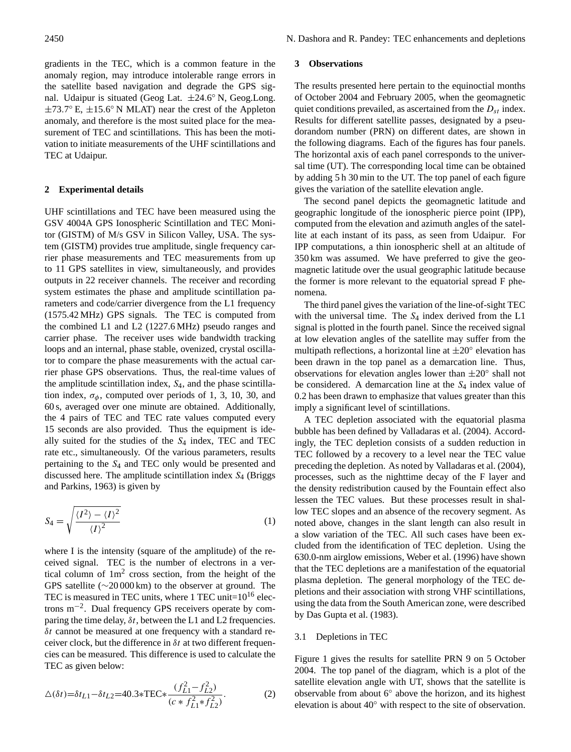gradients in the TEC, which is a common feature in the anomaly region, may introduce intolerable range errors in the satellite based navigation and degrade the GPS signal. Udaipur is situated (Geog Lat.  $\pm 24.6^{\circ}$  N, Geog.Long.  $\pm$ 73.7° E,  $\pm$ 15.6° N MLAT) near the crest of the Appleton anomaly, and therefore is the most suited place for the measurement of TEC and scintillations. This has been the motivation to initiate measurements of the UHF scintillations and TEC at Udaipur.

#### **2 Experimental details**

UHF scintillations and TEC have been measured using the GSV 4004A GPS Ionospheric Scintillation and TEC Monitor (GISTM) of M/s GSV in Silicon Valley, USA. The system (GISTM) provides true amplitude, single frequency carrier phase measurements and TEC measurements from up to 11 GPS satellites in view, simultaneously, and provides outputs in 22 receiver channels. The receiver and recording system estimates the phase and amplitude scintillation parameters and code/carrier divergence from the L1 frequency (1575.42 MHz) GPS signals. The TEC is computed from the combined L1 and L2 (1227.6 MHz) pseudo ranges and carrier phase. The receiver uses wide bandwidth tracking loops and an internal, phase stable, ovenized, crystal oscillator to compare the phase measurements with the actual carrier phase GPS observations. Thus, the real-time values of the amplitude scintillation index,  $S_4$ , and the phase scintillation index,  $\sigma_{\phi}$ , computed over periods of 1, 3, 10, 30, and 60 s, averaged over one minute are obtained. Additionally, the 4 pairs of TEC and TEC rate values computed every 15 seconds are also provided. Thus the equipment is ideally suited for the studies of the  $S_4$  index, TEC and TEC rate etc., simultaneously. Of the various parameters, results pertaining to the S<sup>4</sup> and TEC only would be presented and discussed here. The amplitude scintillation index  $S_4$  [\(Briggs](#page-6-7) [and Parkins,](#page-6-7) [1963\)](#page-6-7) is given by

$$
S_4 = \sqrt{\frac{\langle I^2 \rangle - \langle I \rangle^2}{\langle I \rangle^2}} \tag{1}
$$

where I is the intensity (square of the amplitude) of the received signal. TEC is the number of electrons in a vertical column of  $1m^2$  cross section, from the height of the GPS satellite (∼20 000 km) to the observer at ground. The TEC is measured in TEC units, where 1 TEC unit= $10^{16}$  electrons m−<sup>2</sup> . Dual frequency GPS receivers operate by comparing the time delay,  $\delta t$ , between the L1 and L2 frequencies.  $\delta t$  cannot be measured at one frequency with a standard receiver clock, but the difference in  $\delta t$  at two different frequencies can be measured. This difference is used to calculate the TEC as given below:

$$
\Delta(\delta t) = \delta t_{L1} - \delta t_{L2} = 40.3 \cdot \text{TEC} \cdot \frac{(f_{L1}^2 - f_{L2}^2)}{(c \cdot f_{L1}^2 + f_{L2}^2)}.
$$
 (2)

## **3 Observations**

The results presented here pertain to the equinoctial months of October 2004 and February 2005, when the geomagnetic quiet conditions prevailed, as ascertained from the  $D_{st}$  index. Results for different satellite passes, designated by a pseudorandom number (PRN) on different dates, are shown in the following diagrams. Each of the figures has four panels. The horizontal axis of each panel corresponds to the universal time (UT). The corresponding local time can be obtained by adding 5 h 30 min to the UT. The top panel of each figure gives the variation of the satellite elevation angle.

The second panel depicts the geomagnetic latitude and geographic longitude of the ionospheric pierce point (IPP), computed from the elevation and azimuth angles of the satellite at each instant of its pass, as seen from Udaipur. For IPP computations, a thin ionospheric shell at an altitude of 350 km was assumed. We have preferred to give the geomagnetic latitude over the usual geographic latitude because the former is more relevant to the equatorial spread F phenomena.

The third panel gives the variation of the line-of-sight TEC with the universal time. The  $S_4$  index derived from the L1 signal is plotted in the fourth panel. Since the received signal at low elevation angles of the satellite may suffer from the multipath reflections, a horizontal line at  $\pm 20^\circ$  elevation has been drawn in the top panel as a demarcation line. Thus, observations for elevation angles lower than  $\pm 20^\circ$  shall not be considered. A demarcation line at the  $S_4$  index value of 0.2 has been drawn to emphasize that values greater than this imply a significant level of scintillations.

A TEC depletion associated with the equatorial plasma bubble has been defined by [Valladaras et al.](#page-7-14) [\(2004\)](#page-7-14). Accordingly, the TEC depletion consists of a sudden reduction in TEC followed by a recovery to a level near the TEC value preceding the depletion. As noted by [Valladaras et al.](#page-7-14) [\(2004\)](#page-7-14), processes, such as the nighttime decay of the F layer and the density redistribution caused by the Fountain effect also lessen the TEC values. But these processes result in shallow TEC slopes and an absence of the recovery segment. As noted above, changes in the slant length can also result in a slow variation of the TEC. All such cases have been excluded from the identification of TEC depletion. Using the 630.0-nm airglow emissions, [Weber et al.](#page-7-15) [\(1996\)](#page-7-15) have shown that the TEC depletions are a manifestation of the equatorial plasma depletion. The general morphology of the TEC depletions and their association with strong VHF scintillations, using the data from the South American zone, were described by [Das Gupta et al.](#page-6-8) [\(1983\)](#page-6-8).

## 3.1 Depletions in TEC

Figure 1 gives the results for satellite PRN 9 on 5 October 2004. The top panel of the diagram, which is a plot of the satellite elevation angle with UT, shows that the satellite is observable from about 6◦ above the horizon, and its highest elevation is about 40◦ with respect to the site of observation.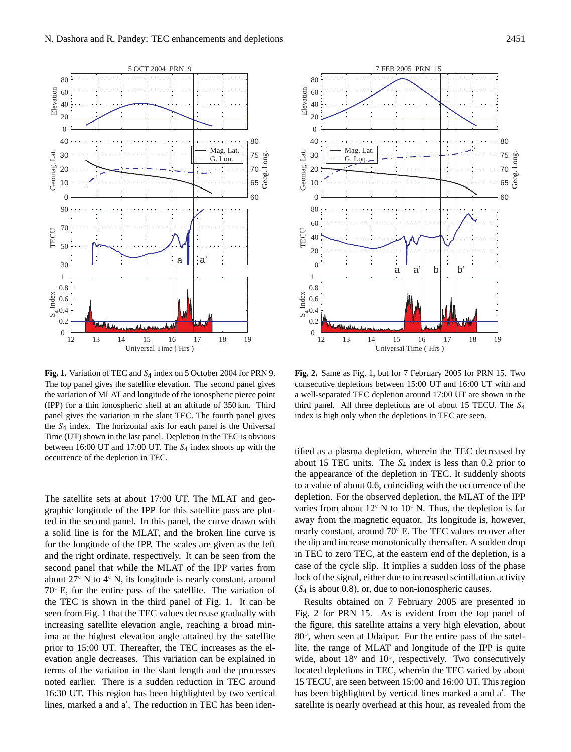

<span id="page-2-0"></span>Fig. 1. Variation of TEC and S<sub>4</sub> index on 5 October 2004 for PRN 9. The top panel gives the satellite elevation. The second panel gives the variation of MLAT and longitude of the ionospheric pierce point (IPP) for a thin ionospheric shell at an altitude of 350 km. Third panel gives the variation in the slant TEC. The fourth panel gives the  $S_4$  index. The horizontal axis for each panel is the Universal Time (UT) shown in the last panel. Depletion in the TEC is obvious between 16:00 UT and 17:00 UT. The  $S_4$  index shoots up with the occurrence of the depletion in TEC.

The satellite sets at about 17:00 UT. The MLAT and geographic longitude of the IPP for this satellite pass are plotted in the second panel. In this panel, the curve drawn with a solid line is for the MLAT, and the broken line curve is for the longitude of the IPP. The scales are given as the left and the right ordinate, respectively. It can be seen from the second panel that while the MLAT of the IPP varies from about 27◦ N to 4◦ N, its longitude is nearly constant, around 70◦ E, for the entire pass of the satellite. The variation of the TEC is shown in the third panel of Fig. [1.](#page-2-0) It can be seen from Fig. [1](#page-2-0) that the TEC values decrease gradually with increasing satellite elevation angle, reaching a broad minima at the highest elevation angle attained by the satellite prior to 15:00 UT. Thereafter, the TEC increases as the elevation angle decreases. This variation can be explained in terms of the variation in the slant length and the processes noted earlier. There is a sudden reduction in TEC around 16:30 UT. This region has been highlighted by two vertical lines, marked a and a'. The reduction in TEC has been iden-



**Fig. 2.** Same as Fig. [1,](#page-2-0) but for 7 February 2005 for PRN 15. Two consecutive depletions between 15:00 UT and 16:00 UT with and a well-separated TEC depletion around 17:00 UT are shown in the third panel. All three depletions are of about 15 TECU. The  $S_4$ index is high only when the depletions in TEC are seen.

tified as a plasma depletion, wherein the TEC decreased by about 15 TEC units. The  $S_4$  index is less than 0.2 prior to the appearance of the depletion in TEC. It suddenly shoots to a value of about 0.6, coinciding with the occurrence of the depletion. For the observed depletion, the MLAT of the IPP varies from about  $12°$  N to  $10°$  N. Thus, the depletion is far away from the magnetic equator. Its longitude is, however, nearly constant, around 70◦ E. The TEC values recover after the dip and increase monotonically thereafter. A sudden drop in TEC to zero TEC, at the eastern end of the depletion, is a case of the cycle slip. It implies a sudden loss of the phase lock of the signal, either due to increased scintillation activity  $(S_4$  is about 0.8), or, due to non-ionospheric causes.

Results obtained on 7 February 2005 are presented in Fig. 2 for PRN 15. As is evident from the top panel of the figure, this satellite attains a very high elevation, about 80°, when seen at Udaipur. For the entire pass of the satellite, the range of MLAT and longitude of the IPP is quite wide, about 18° and 10°, respectively. Two consecutively located depletions in TEC, wherein the TEC varied by about 15 TECU, are seen between 15:00 and 16:00 UT. This region has been highlighted by vertical lines marked a and a'. The satellite is nearly overhead at this hour, as revealed from the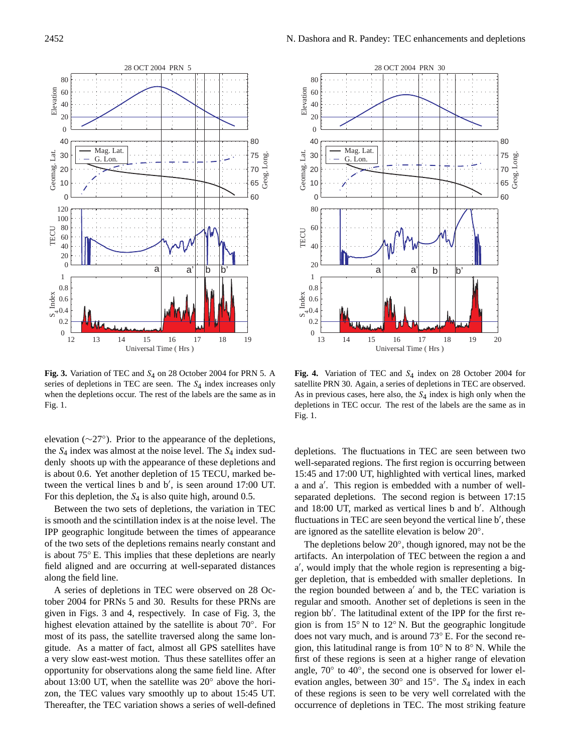

<span id="page-3-0"></span>**Fig. 3.** Variation of TEC and S4 on 28 October 2004 for PRN 5. A series of depletions in TEC are seen. The  $S_4$  index increases only when the depletions occur. The rest of the labels are the same as in Fig. [1.](#page-2-0)

elevation (∼27◦ ). Prior to the appearance of the depletions, the  $S_4$  index was almost at the noise level. The  $S_4$  index suddenly shoots up with the appearance of these depletions and is about 0.6. Yet another depletion of 15 TECU, marked between the vertical lines  $\overline{b}$  and  $\overline{b}'$ , is seen around 17:00 UT. For this depletion, the  $S_4$  is also quite high, around 0.5.

Between the two sets of depletions, the variation in TEC is smooth and the scintillation index is at the noise level. The IPP geographic longitude between the times of appearance of the two sets of the depletions remains nearly constant and is about 75◦ E. This implies that these depletions are nearly field aligned and are occurring at well-separated distances along the field line.

A series of depletions in TEC were observed on 28 October 2004 for PRNs 5 and 30. Results for these PRNs are given in Figs. 3 and 4, respectively. In case of Fig. [3,](#page-3-0) the highest elevation attained by the satellite is about 70◦ . For most of its pass, the satellite traversed along the same longitude. As a matter of fact, almost all GPS satellites have a very slow east-west motion. Thus these satellites offer an opportunity for observations along the same field line. After about 13:00 UT, when the satellite was 20◦ above the horizon, the TEC values vary smoothly up to about 15:45 UT. Thereafter, the TEC variation shows a series of well-defined



<span id="page-3-1"></span>Fig. 4. Variation of TEC and S<sub>4</sub> index on 28 October 2004 for satellite PRN 30. Again, a series of depletions in TEC are observed. As in previous cases, here also, the  $S_4$  index is high only when the depletions in TEC occur. The rest of the labels are the same as in Fig. [1.](#page-2-0)

depletions. The fluctuations in TEC are seen between two well-separated regions. The first region is occurring between 15:45 and 17:00 UT, highlighted with vertical lines, marked a and a'. This region is embedded with a number of wellseparated depletions. The second region is between 17:15 and 18:00 UT, marked as vertical lines b and b'. Although fluctuations in TEC are seen beyond the vertical line b', these are ignored as the satellite elevation is below 20◦ .

The depletions below 20°, though ignored, may not be the artifacts. An interpolation of TEC between the region a and a', would imply that the whole region is representing a bigger depletion, that is embedded with smaller depletions. In the region bounded between  $a'$  and b, the TEC variation is regular and smooth. Another set of depletions is seen in the region bb'. The latitudinal extent of the IPP for the first region is from 15◦ N to 12◦ N. But the geographic longitude does not vary much, and is around 73◦ E. For the second region, this latitudinal range is from  $10°$  N to  $8°$  N. While the first of these regions is seen at a higher range of elevation angle, 70° to 40°, the second one is observed for lower elevation angles, between 30° and 15°. The S<sub>4</sub> index in each of these regions is seen to be very well correlated with the occurrence of depletions in TEC. The most striking feature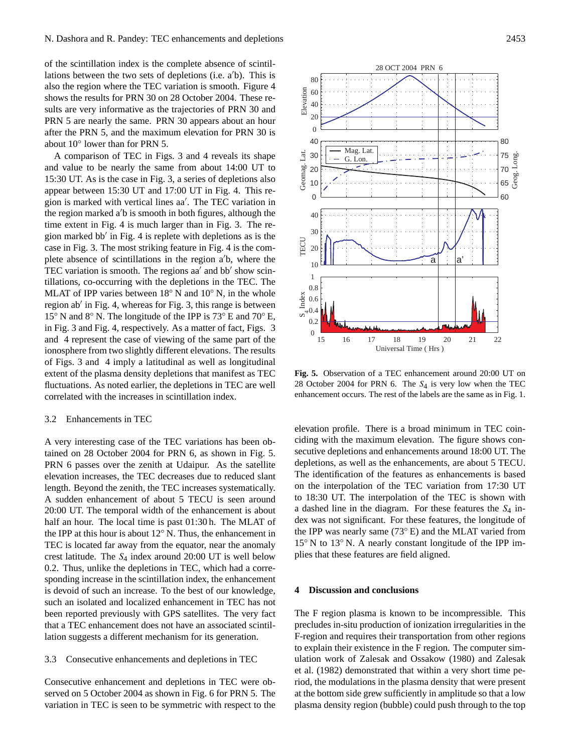of the scintillation index is the complete absence of scintillations between the two sets of depletions (i.e.  $a'b$ ). This is also the region where the TEC variation is smooth. Figure 4 shows the results for PRN 30 on 28 October 2004. These results are very informative as the trajectories of PRN 30 and PRN 5 are nearly the same. PRN 30 appears about an hour after the PRN 5, and the maximum elevation for PRN 30 is about 10◦ lower than for PRN 5.

A comparison of TEC in Figs. [3](#page-3-0) and [4](#page-3-1) reveals its shape and value to be nearly the same from about 14:00 UT to 15:30 UT. As is the case in Fig. [3,](#page-3-0) a series of depletions also appear between 15:30 UT and 17:00 UT in Fig. [4.](#page-3-1) This region is marked with vertical lines aa'. The TEC variation in the region marked  $a'b$  is smooth in both figures, although the time extent in Fig. [4](#page-3-1) is much larger than in Fig. [3.](#page-3-0) The re-gion marked bb' in Fig. [4](#page-3-1) is replete with depletions as is the case in Fig. [3.](#page-3-0) The most striking feature in Fig. [4](#page-3-1) is the complete absence of scintillations in the region  $a/b$ , where the TEC variation is smooth. The regions aa' and bb' show scintillations, co-occurring with the depletions in the TEC. The MLAT of IPP varies between 18◦ N and 10◦ N, in the whole region ab' in Fig. [4,](#page-3-1) whereas for Fig. [3,](#page-3-0) this range is between 15◦ N and 8◦ N. The longitude of the IPP is 73◦ E and 70◦ E, in Fig. [3](#page-3-0) and Fig. [4,](#page-3-1) respectively. As a matter of fact, Figs. [3](#page-3-0) and [4](#page-3-1) represent the case of viewing of the same part of the ionosphere from two slightly different elevations. The results of Figs. [3](#page-3-0) and [4](#page-3-1) imply a latitudinal as well as longitudinal extent of the plasma density depletions that manifest as TEC fluctuations. As noted earlier, the depletions in TEC are well correlated with the increases in scintillation index.

### 3.2 Enhancements in TEC

A very interesting case of the TEC variations has been obtained on 28 October 2004 for PRN 6, as shown in Fig. [5.](#page-4-0) PRN 6 passes over the zenith at Udaipur. As the satellite elevation increases, the TEC decreases due to reduced slant length. Beyond the zenith, the TEC increases systematically. A sudden enhancement of about 5 TECU is seen around 20:00 UT. The temporal width of the enhancement is about half an hour. The local time is past 01:30 h. The MLAT of the IPP at this hour is about 12◦ N. Thus, the enhancement in TEC is located far away from the equator, near the anomaly crest latitude. The  $S_4$  index around 20:00 UT is well below 0.2. Thus, unlike the depletions in TEC, which had a corresponding increase in the scintillation index, the enhancement is devoid of such an increase. To the best of our knowledge, such an isolated and localized enhancement in TEC has not been reported previously with GPS satellites. The very fact that a TEC enhancement does not have an associated scintillation suggests a different mechanism for its generation.

## 3.3 Consecutive enhancements and depletions in TEC

Consecutive enhancement and depletions in TEC were observed on 5 October 2004 as shown in Fig. [6](#page-5-0) for PRN 5. The variation in TEC is seen to be symmetric with respect to the

<span id="page-4-0"></span>**Fig. 5.** Observation of a TEC enhancement around 20:00 UT on 28 October 2004 for PRN 6. The  $S_4$  is very low when the TEC enhancement occurs. The rest of the labels are the same as in Fig. [1.](#page-2-0)

elevation profile. There is a broad minimum in TEC coinciding with the maximum elevation. The figure shows consecutive depletions and enhancements around 18:00 UT. The depletions, as well as the enhancements, are about 5 TECU. The identification of the features as enhancements is based on the interpolation of the TEC variation from 17:30 UT to 18:30 UT. The interpolation of the TEC is shown with a dashed line in the diagram. For these features the  $S_4$  index was not significant. For these features, the longitude of the IPP was nearly same (73◦ E) and the MLAT varied from 15◦ N to 13◦ N. A nearly constant longitude of the IPP implies that these features are field aligned.

#### **4 Discussion and conclusions**

The F region plasma is known to be incompressible. This precludes in-situ production of ionization irregularities in the F-region and requires their transportation from other regions to explain their existence in the F region. The computer simulation work of [Zalesak and Ossakow](#page-7-16) [\(1980\)](#page-7-16) and [Zalesak](#page-7-17) [et al.](#page-7-17) [\(1982\)](#page-7-17) demonstrated that within a very short time period, the modulations in the plasma density that were present at the bottom side grew sufficiently in amplitude so that a low plasma density region (bubble) could push through to the top

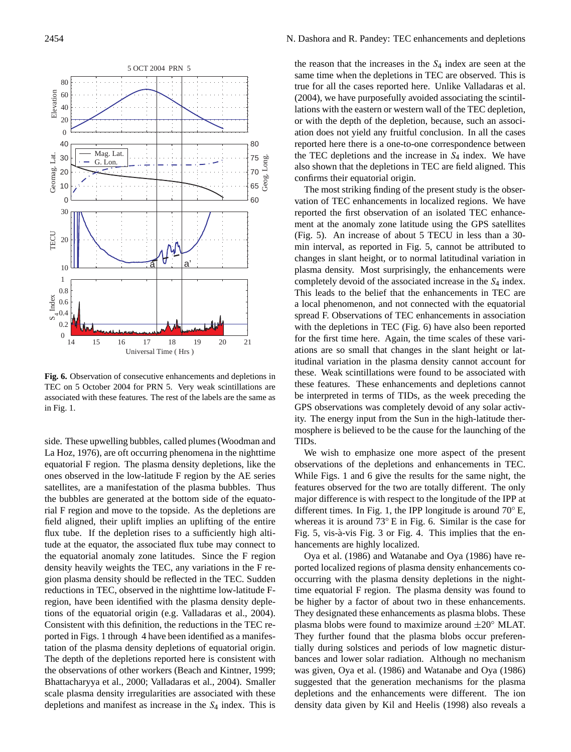

<span id="page-5-0"></span>**Fig. 6.** Observation of consecutive enhancements and depletions in TEC on 5 October 2004 for PRN 5. Very weak scintillations are associated with these features. The rest of the labels are the same as in Fig. [1.](#page-2-0)

side. These upwelling bubbles, called plumes [\(Woodman and](#page-7-2) [La Hoz,](#page-7-2) [1976\)](#page-7-2), are oft occurring phenomena in the nighttime equatorial F region. The plasma density depletions, like the ones observed in the low-latitude F region by the AE series satellites, are a manifestation of the plasma bubbles. Thus the bubbles are generated at the bottom side of the equatorial F region and move to the topside. As the depletions are field aligned, their uplift implies an uplifting of the entire flux tube. If the depletion rises to a sufficiently high altitude at the equator, the associated flux tube may connect to the equatorial anomaly zone latitudes. Since the F region density heavily weights the TEC, any variations in the F region plasma density should be reflected in the TEC. Sudden reductions in TEC, observed in the nighttime low-latitude Fregion, have been identified with the plasma density depletions of the equatorial origin (e.g. [Valladaras et al.,](#page-7-14) [2004\)](#page-7-14). Consistent with this definition, the reductions in the TEC reported in Figs. [1](#page-2-0) through [4](#page-3-1) have been identified as a manifestation of the plasma density depletions of equatorial origin. The depth of the depletions reported here is consistent with the observations of other workers [\(Beach and Kintner,](#page-6-5) [1999;](#page-6-5) [Bhattacharyya et al.,](#page-6-6) [2000;](#page-6-6) [Valladaras et al.,](#page-7-14) [2004\)](#page-7-14). Smaller scale plasma density irregularities are associated with these depletions and manifest as increase in the  $S_4$  index. This is the reason that the increases in the  $S_4$  index are seen at the same time when the depletions in TEC are observed. This is true for all the cases reported here. Unlike [Valladaras et al.](#page-7-14) [\(2004\)](#page-7-14), we have purposefully avoided associating the scintillations with the eastern or western wall of the TEC depletion, or with the depth of the depletion, because, such an association does not yield any fruitful conclusion. In all the cases reported here there is a one-to-one correspondence between the TEC depletions and the increase in  $S_4$  index. We have also shown that the depletions in TEC are field aligned. This confirms their equatorial origin.

The most striking finding of the present study is the observation of TEC enhancements in localized regions. We have reported the first observation of an isolated TEC enhancement at the anomaly zone latitude using the GPS satellites (Fig. [5\)](#page-4-0). An increase of about 5 TECU in less than a 30 min interval, as reported in Fig. [5,](#page-4-0) cannot be attributed to changes in slant height, or to normal latitudinal variation in plasma density. Most surprisingly, the enhancements were completely devoid of the associated increase in the  $S_4$  index. This leads to the belief that the enhancements in TEC are a local phenomenon, and not connected with the equatorial spread F. Observations of TEC enhancements in association with the depletions in TEC (Fig. [6\)](#page-5-0) have also been reported for the first time here. Again, the time scales of these variations are so small that changes in the slant height or latitudinal variation in the plasma density cannot account for these. Weak scintillations were found to be associated with these features. These enhancements and depletions cannot be interpreted in terms of TIDs, as the week preceding the GPS observations was completely devoid of any solar activity. The energy input from the Sun in the high-latitude thermosphere is believed to be the cause for the launching of the TIDs.

We wish to emphasize one more aspect of the present observations of the depletions and enhancements in TEC. While Figs. [1](#page-2-0) and [6](#page-5-0) give the results for the same night, the features observed for the two are totally different. The only major difference is with respect to the longitude of the IPP at different times. In Fig. [1,](#page-2-0) the IPP longitude is around 70◦ E, whereas it is around 73◦ E in Fig. [6.](#page-5-0) Similar is the case for Fig. [5,](#page-4-0) vis-à-vis Fig. [3](#page-3-0) or Fig. [4.](#page-3-1) This implies that the enhancements are highly localized.

[Oya et al.](#page-7-18) [\(1986\)](#page-7-18) and [Watanabe and Oya](#page-7-19) [\(1986\)](#page-7-19) have reported localized regions of plasma density enhancements cooccurring with the plasma density depletions in the nighttime equatorial F region. The plasma density was found to be higher by a factor of about two in these enhancements. They designated these enhancements as plasma blobs. These plasma blobs were found to maximize around  $\pm 20°$  MLAT. They further found that the plasma blobs occur preferentially during solstices and periods of low magnetic disturbances and lower solar radiation. Although no mechanism was given, [Oya et al.](#page-7-18) [\(1986\)](#page-7-18) and [Watanabe and Oya](#page-7-19) [\(1986\)](#page-7-19) suggested that the generation mechanisms for the plasma depletions and the enhancements were different. The ion density data given by [Kil and Heelis](#page-7-7) [\(1998\)](#page-7-7) also reveals a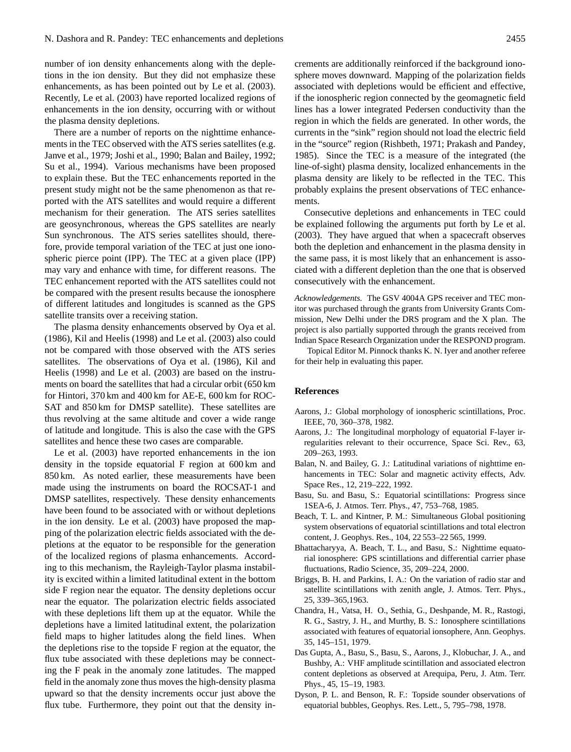number of ion density enhancements along with the depletions in the ion density. But they did not emphasize these enhancements, as has been pointed out by [Le et al.](#page-7-0) [\(2003\)](#page-7-0). Recently, [Le et al.](#page-7-0) [\(2003\)](#page-7-0) have reported localized regions of enhancements in the ion density, occurring with or without the plasma density depletions.

There are a number of reports on the nighttime enhancements in the TEC observed with the ATS series satellites (e.g. [Janve et al.,](#page-7-20) [1979;](#page-7-20) [Joshi et al.,](#page-7-21) [1990;](#page-7-21) [Balan and Bailey,](#page-6-9) [1992;](#page-6-9) [Su et al.,](#page-7-22) [1994\)](#page-7-22). Various mechanisms have been proposed to explain these. But the TEC enhancements reported in the present study might not be the same phenomenon as that reported with the ATS satellites and would require a different mechanism for their generation. The ATS series satellites are geosynchronous, whereas the GPS satellites are nearly Sun synchronous. The ATS series satellites should, therefore, provide temporal variation of the TEC at just one ionospheric pierce point (IPP). The TEC at a given place (IPP) may vary and enhance with time, for different reasons. The TEC enhancement reported with the ATS satellites could not be compared with the present results because the ionosphere of different latitudes and longitudes is scanned as the GPS satellite transits over a receiving station.

The plasma density enhancements observed by [Oya et al.](#page-7-18) [\(1986\)](#page-7-18), [Kil and Heelis](#page-7-7) [\(1998\)](#page-7-7) and [Le et al.](#page-7-0) [\(2003\)](#page-7-0) also could not be compared with those observed with the ATS series satellites. The observations of [Oya et al.](#page-7-18) [\(1986\)](#page-7-18), [Kil and](#page-7-7) [Heelis](#page-7-7) [\(1998\)](#page-7-7) and [Le et al.](#page-7-0) [\(2003\)](#page-7-0) are based on the instruments on board the satellites that had a circular orbit (650 km for Hintori, 370 km and 400 km for AE-E, 600 km for ROC-SAT and 850 km for DMSP satellite). These satellites are thus revolving at the same altitude and cover a wide range of latitude and longitude. This is also the case with the GPS satellites and hence these two cases are comparable.

[Le et al.](#page-7-0) [\(2003\)](#page-7-0) have reported enhancements in the ion density in the topside equatorial F region at 600 km and 850 km. As noted earlier, these measurements have been made using the instruments on board the ROCSAT-1 and DMSP satellites, respectively. These density enhancements have been found to be associated with or without depletions in the ion density. [Le et al.](#page-7-0) [\(2003\)](#page-7-0) have proposed the mapping of the polarization electric fields associated with the depletions at the equator to be responsible for the generation of the localized regions of plasma enhancements. According to this mechanism, the Rayleigh-Taylor plasma instability is excited within a limited latitudinal extent in the bottom side F region near the equator. The density depletions occur near the equator. The polarization electric fields associated with these depletions lift them up at the equator. While the depletions have a limited latitudinal extent, the polarization field maps to higher latitudes along the field lines. When the depletions rise to the topside F region at the equator, the flux tube associated with these depletions may be connecting the F peak in the anomaly zone latitudes. The mapped field in the anomaly zone thus moves the high-density plasma upward so that the density increments occur just above the flux tube. Furthermore, they point out that the density increments are additionally reinforced if the background ionosphere moves downward. Mapping of the polarization fields associated with depletions would be efficient and effective, if the ionospheric region connected by the geomagnetic field lines has a lower integrated Pedersen conductivity than the region in which the fields are generated. In other words, the currents in the "sink" region should not load the electric field in the "source" region [\(Rishbeth,](#page-7-23) [1971;](#page-7-23) [Prakash and Pandey,](#page-7-24) [1985\)](#page-7-24). Since the TEC is a measure of the integrated (the line-of-sight) plasma density, localized enhancements in the plasma density are likely to be reflected in the TEC. This probably explains the present observations of TEC enhancements.

Consecutive depletions and enhancements in TEC could be explained following the arguments put forth by [Le et al.](#page-7-0) [\(2003\)](#page-7-0). They have argued that when a spacecraft observes both the depletion and enhancement in the plasma density in the same pass, it is most likely that an enhancement is associated with a different depletion than the one that is observed consecutively with the enhancement.

*Acknowledgements.* The GSV 4004A GPS receiver and TEC monitor was purchased through the grants from University Grants Commission, New Delhi under the DRS program and the X plan. The project is also partially supported through the grants received from Indian Space Research Organization under the RESPOND program.

Topical Editor M. Pinnock thanks K. N. Iyer and another referee for their help in evaluating this paper.

#### **References**

- <span id="page-6-2"></span>Aarons, J.: Global morphology of ionospheric scintillations, Proc. IEEE, 70, 360–378, 1982.
- <span id="page-6-4"></span>Aarons, J.: The longitudinal morphology of equatorial F-layer irregularities relevant to their occurrence, Space Sci. Rev., 63, 209–263, 1993.
- <span id="page-6-9"></span>Balan, N. and Bailey, G. J.: Latitudinal variations of nighttime enhancements in TEC: Solar and magnetic activity effects, Adv. Space Res., 12, 219–222, 1992.
- <span id="page-6-3"></span>Basu, Su. and Basu, S.: Equatorial scintillations: Progress since 1SEA-6, J. Atmos. Terr. Phys., 47, 753–768, 1985.
- <span id="page-6-5"></span>Beach, T. L. and Kintner, P. M.: Simultaneous Global positioning system observations of equatorial scintillations and total electron content, J. Geophys. Res., 104, 22 553–22 565, 1999.
- <span id="page-6-6"></span>Bhattacharyya, A. Beach, T. L., and Basu, S.: Nighttime equatorial ionosphere: GPS scintillations and differential carrier phase fluctuations, Radio Science, 35, 209–224, 2000.
- <span id="page-6-7"></span>Briggs, B. H. and Parkins, I. A.: On the variation of radio star and satellite scintillations with zenith angle, J. Atmos. Terr. Phys., 25, 339–365,1963.
- <span id="page-6-1"></span>Chandra, H., Vatsa, H. O., Sethia, G., Deshpande, M. R., Rastogi, R. G., Sastry, J. H., and Murthy, B. S.: Ionosphere scintillations associated with features of equatorial ionsophere, Ann. Geophys. 35, 145–151, 1979.
- <span id="page-6-8"></span>Das Gupta, A., Basu, S., Basu, S., Aarons, J., Klobuchar, J. A., and Bushby, A.: VHF amplitude scintillation and associated electron content depletions as observed at Arequipa, Peru, J. Atm. Terr. Phys., 45, 15–19, 1983.
- <span id="page-6-0"></span>Dyson, P. L. and Benson, R. F.: Topside sounder observations of equatorial bubbles, Geophys. Res. Lett., 5, 795–798, 1978.